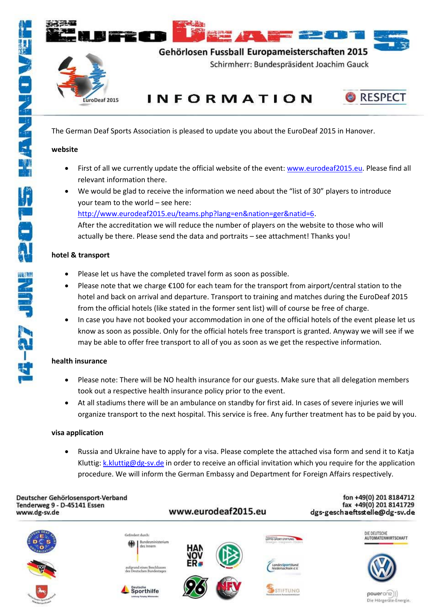

The German Deaf Sports Association is pleased to update you about the EuroDeaf 2015 in Hanover.

### **website**

- First of all we currently update the official website of the event[: www.eurodeaf2015.eu.](http://www.eurodeaf2015.eu/) Please find all relevant information there.
- We would be glad to receive the information we need about the "list of 30" players to introduce your team to the world – see here: [http://www.eurodeaf2015.eu/teams.php?lang=en&nation=ger&natid=6.](http://www.eurodeaf2015.eu/teams.php?lang=en&nation=ger&natid=6) After the accreditation we will reduce the number of players on the website to those who will actually be there. Please send the data and portraits – see attachment! Thanks you!

# **hotel & transport**

- Please let us have the completed travel form as soon as possible.
- Please note that we charge €100 for each team for the transport from airport/central station to the hotel and back on arrival and departure. Transport to training and matches during the EuroDeaf 2015 from the official hotels (like stated in the former sent list) will of course be free of charge.
- In case you have not booked your accommodation in one of the official hotels of the event please let us know as soon as possible. Only for the official hotels free transport is granted. Anyway we will see if we may be able to offer free transport to all of you as soon as we get the respective information.

# **health insurance**

- Please note: There will be NO health insurance for our guests. Make sure that all delegation members took out a respective health insurance policy prior to the event.
- At all stadiums there will be an ambulance on standby for first aid. In cases of severe injuries we will organize transport to the next hospital. This service is free. Any further treatment has to be paid by you.

## **visa application**

 Russia and Ukraine have to apply for a visa. Please complete the attached visa form and send it to Katja Kluttig: [k.kluttig@dg-sv.de](mailto:k.kluttig@dg-sv.de) in order to receive an official invitation which you require for the application procedure. We will inform the German Embassy and Department for Foreign Affairs respectively.

#### Deutscher Gehörlosensport-Verband Tenderweg 9 - D-45141 Essen www.dg-sv.de

www.eurodeaf2015.eu

fon +49(0) 201 8184712 fax +49(0) 201 8141729 dgs-geschaeftsstelle@dg-sv.de



**SALES AND AND RESIDENCE**